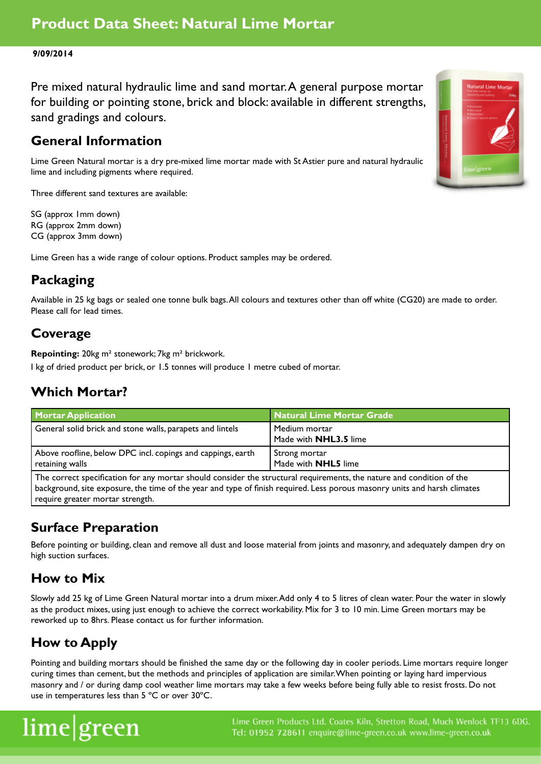#### **9/09/2014**

Pre mixed natural hydraulic lime and sand mortar. A general purpose mortar for building or pointing stone, brick and block: available in different strengths, sand gradings and colours.

#### **General Information**

Lime Green Natural mortar is a dry pre-mixed lime mortar made with St Astier pure and natural hydraulic lime and including pigments where required.

Three different sand textures are available:

SG (approx 1mm down) RG (approx 2mm down) CG (approx 3mm down)

Lime Green has a wide range of colour options. Product samples may be ordered.

# **Packaging**

Available in 25 kg bags or sealed one tonne bulk bags. All colours and textures other than off white (CG20) are made to order. Please call for lead times.

#### **Coverage**

**Repointing:** 20kg m² stonework; 7kg m² brickwork.

I kg of dried product per brick, or 1.5 tonnes will produce 1 metre cubed of mortar.

### **Which Mortar?**

| <b>Mortar Application</b>                                                      | Natural Lime Mortar Grade                     |
|--------------------------------------------------------------------------------|-----------------------------------------------|
| General solid brick and stone walls, parapets and lintels                      | Medium mortar<br>Made with <b>NHL3.5</b> lime |
| Above roofline, below DPC incl. copings and cappings, earth<br>retaining walls | Strong mortar<br>Made with <b>NHL5</b> lime   |

The correct specification for any mortar should consider the structural requirements, the nature and condition of the background, site exposure, the time of the year and type of finish required. Less porous masonry units and harsh climates require greater mortar strength.

## **Surface Preparation**

Before pointing or building, clean and remove all dust and loose material from joints and masonry, and adequately dampen dry on high suction surfaces.

### **How to Mix**

Slowly add 25 kg of Lime Green Natural mortar into a drum mixer. Add only 4 to 5 litres of clean water. Pour the water in slowly as the product mixes, using just enough to achieve the correct workability. Mix for 3 to 10 min. Lime Green mortars may be reworked up to 8hrs. Please contact us for further information.

## **How to Apply**

Pointing and building mortars should be finished the same day or the following day in cooler periods. Lime mortars require longer curing times than cement, but the methods and principles of application are similar. When pointing or laying hard impervious masonry and / or during damp cool weather lime mortars may take a few weeks before being fully able to resist frosts. Do not use in temperatures less than 5 ºC or over 30ºC.

# lime|green

Lime Green Products Ltd. Coates Kiln, Stretton Road, Much Wenlock TF13 6DG. Tel: 01952 728611 enquire@lime-green.co.uk www.lime-green.co.uk